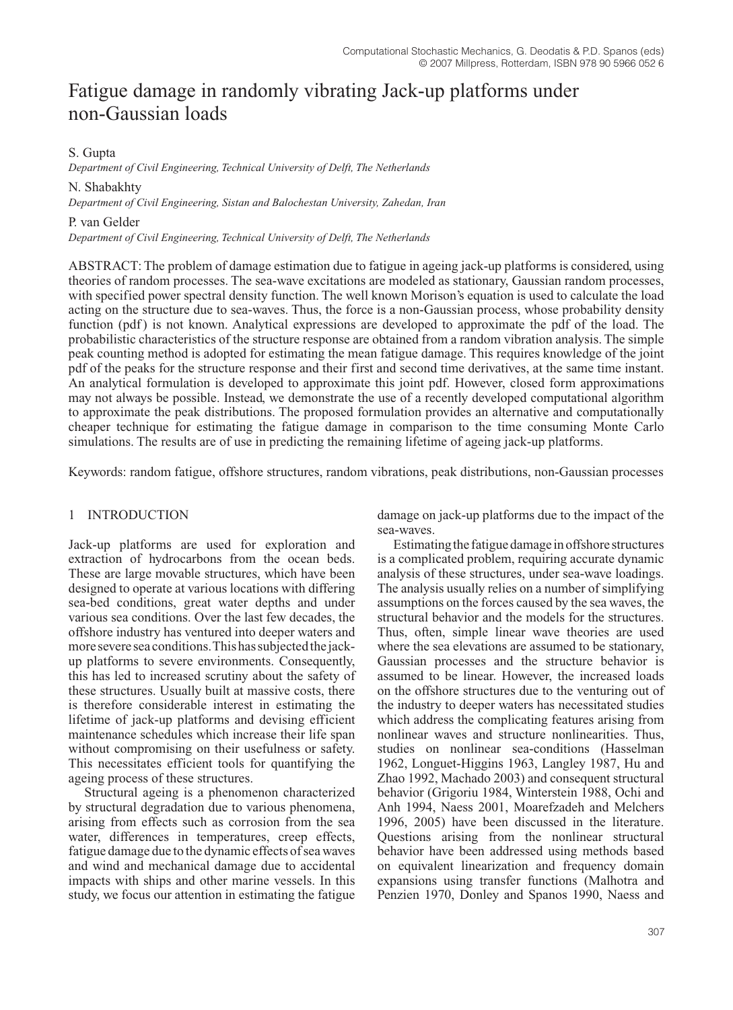# Fatigue damage in randomly vibrating Jack-up platforms under non-Gaussian loads

S. Gupta

*Department of Civil Engineering, Technical University of Delft, The Netherlands*

N. Shabakhty

*Department of Civil Engineering, Sistan and Balochestan University, Zahedan, Iran*

P. van Gelder

*Department of Civil Engineering, Technical University of Delft, The Netherlands*

ABSTRACT: The problem of damage estimation due to fatigue in ageing jack-up platforms is considered, using theories of random processes. The sea-wave excitations are modeled as stationary, Gaussian random processes, with specified power spectral density function. The well known Morison's equation is used to calculate the load acting on the structure due to sea-waves. Thus, the force is a non-Gaussian process, whose probability density function (pdf) is not known. Analytical expressions are developed to approximate the pdf of the load. The probabilistic characteristics of the structure response are obtained from a random vibration analysis. The simple peak counting method is adopted for estimating the mean fatigue damage. This requires knowledge of the joint pdf of the peaks for the structure response and their first and second time derivatives, at the same time instant. An analytical formulation is developed to approximate this joint pdf. However, closed form approximations may not always be possible. Instead, we demonstrate the use of a recently developed computational algorithm to approximate the peak distributions. The proposed formulation provides an alternative and computationally cheaper technique for estimating the fatigue damage in comparison to the time consuming Monte Carlo simulations. The results are of use in predicting the remaining lifetime of ageing jack-up platforms.

Keywords: random fatigue, offshore structures, random vibrations, peak distributions, non-Gaussian processes

## 1 INTRODUCTION

Jack-up platforms are used for exploration and extraction of hydrocarbons from the ocean beds. These are large movable structures, which have been designed to operate at various locations with differing sea-bed conditions, great water depths and under various sea conditions. Over the last few decades, the offshore industry has ventured into deeper waters and more severe sea conditions. This has subjected the jackup platforms to severe environments. Consequently, this has led to increased scrutiny about the safety of these structures. Usually built at massive costs, there is therefore considerable interest in estimating the lifetime of jack-up platforms and devising efficient maintenance schedules which increase their life span without compromising on their usefulness or safety. This necessitates efficient tools for quantifying the ageing process of these structures.

Structural ageing is a phenomenon characterized by structural degradation due to various phenomena, arising from effects such as corrosion from the sea water, differences in temperatures, creep effects, fatigue damage due to the dynamic effects of sea waves and wind and mechanical damage due to accidental impacts with ships and other marine vessels. In this study, we focus our attention in estimating the fatigue

damage on jack-up platforms due to the impact of the sea-waves.

Estimating the fatigue damage in offshore structures is a complicated problem, requiring accurate dynamic analysis of these structures, under sea-wave loadings. The analysis usually relies on a number of simplifying assumptions on the forces caused by the sea waves, the structural behavior and the models for the structures. Thus, often, simple linear wave theories are used where the sea elevations are assumed to be stationary, Gaussian processes and the structure behavior is assumed to be linear. However, the increased loads on the offshore structures due to the venturing out of the industry to deeper waters has necessitated studies which address the complicating features arising from nonlinear waves and structure nonlinearities. Thus, studies on nonlinear sea-conditions (Hasselman 1962, Longuet-Higgins 1963, Langley 1987, Hu and Zhao 1992, Machado 2003) and consequent structural behavior (Grigoriu 1984, Winterstein 1988, Ochi and Anh 1994, Naess 2001, Moarefzadeh and Melchers 1996, 2005) have been discussed in the literature. Questions arising from the nonlinear structural behavior have been addressed using methods based on equivalent linearization and frequency domain expansions using transfer functions (Malhotra and Penzien 1970, Donley and Spanos 1990, Naess and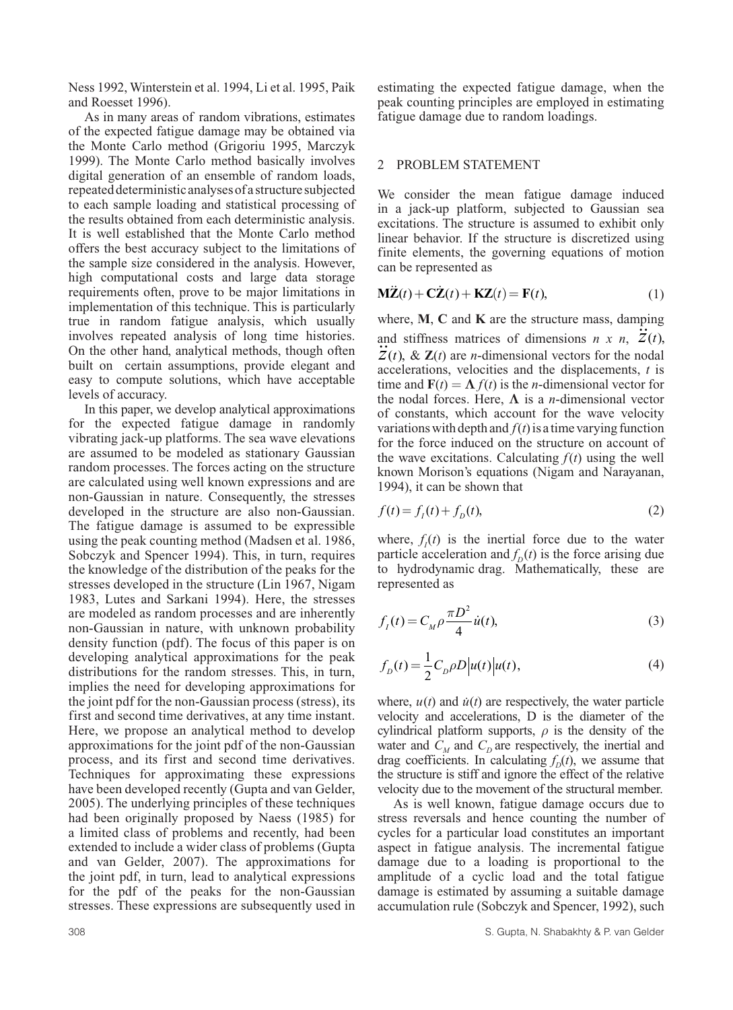Ness 1992, Winterstein et al. 1994, Li et al. 1995, Paik and Roesset 1996).

As in many areas of random vibrations, estimates of the expected fatigue damage may be obtained via the Monte Carlo method (Grigoriu 1995, Marczyk 1999). The Monte Carlo method basically involves digital generation of an ensemble of random loads, repeated deterministic analyses of a structure subjected to each sample loading and statistical processing of the results obtained from each deterministic analysis. It is well established that the Monte Carlo method offers the best accuracy subject to the limitations of the sample size considered in the analysis. However, high computational costs and large data storage requirements often, prove to be major limitations in implementation of this technique. This is particularly true in random fatigue analysis, which usually involves repeated analysis of long time histories. On the other hand, analytical methods, though often built on certain assumptions, provide elegant and easy to compute solutions, which have acceptable levels of accuracy.

In this paper, we develop analytical approximations for the expected fatigue damage in randomly vibrating jack-up platforms. The sea wave elevations are assumed to be modeled as stationary Gaussian random processes. The forces acting on the structure are calculated using well known expressions and are non-Gaussian in nature. Consequently, the stresses developed in the structure are also non-Gaussian. The fatigue damage is assumed to be expressible using the peak counting method (Madsen et al. 1986, Sobczyk and Spencer 1994). This, in turn, requires the knowledge of the distribution of the peaks for the stresses developed in the structure (Lin 1967, Nigam 1983, Lutes and Sarkani 1994). Here, the stresses are modeled as random processes and are inherently non-Gaussian in nature, with unknown probability density function (pdf). The focus of this paper is on developing analytical approximations for the peak distributions for the random stresses. This, in turn, implies the need for developing approximations for the joint pdf for the non-Gaussian process (stress), its first and second time derivatives, at any time instant. Here, we propose an analytical method to develop approximations for the joint pdf of the non-Gaussian process, and its first and second time derivatives. Techniques for approximating these expressions have been developed recently (Gupta and van Gelder, 2005). The underlying principles of these techniques had been originally proposed by Naess (1985) for a limited class of problems and recently, had been extended to include a wider class of problems (Gupta and van Gelder, 2007). The approximations for the joint pdf, in turn, lead to analytical expressions for the pdf of the peaks for the non-Gaussian stresses. These expressions are subsequently used in estimating the expected fatigue damage, when the peak counting principles are employed in estimating fatigue damage due to random loadings.

### 2 PROBLEM STATEMENT

We consider the mean fatigue damage induced in a jack-up platform, subjected to Gaussian sea excitations. The structure is assumed to exhibit only linear behavior. If the structure is discretized using finite elements, the governing equations of motion can be represented as

$$
\mathbf{M}\ddot{\mathbf{Z}}(t) + \mathbf{C}\dot{\mathbf{Z}}(t) + \mathbf{K}\mathbf{Z}(t) = \mathbf{F}(t),
$$
\n(1)

where, **M**, **C** and **K** are the structure mass, damping and stiffness matrices of dimensions  $n \times n$ ,  $Z(t)$ ,  $Z(t)$ , &  $Z(t)$  are *n*-dimensional vectors for the nodal accelerations, velocities and the displacements, *t* is time and  $\mathbf{F}(t) = \mathbf{\Lambda} f(t)$  is the *n*-dimensional vector for the nodal forces. Here,  $\Lambda$  is a *n*-dimensional vector of constants, which account for the wave velocity variations with depth and  $f(t)$  is a time varying function for the force induced on the structure on account of the wave excitations. Calculating  $f(t)$  using the well known Morison's equations (Nigam and Narayanan, 1994), it can be shown that

$$
f(t) = f_1(t) + f_0(t),
$$
 (2)

where,  $f_I(t)$  is the inertial force due to the water particle acceleration and  $f<sub>D</sub>(t)$  is the force arising due to hydrodynamic drag. Mathematically, these are represented as

$$
f_I(t) = C_M \rho \frac{\pi D^2}{4} \dot{u}(t),
$$
 (3)

$$
f_D(t) = \frac{1}{2} C_D \rho D |u(t)| u(t), \qquad (4)
$$

where,  $u(t)$  and  $\dot{u}(t)$  are respectively, the water particle velocity and accelerations, D is the diameter of the cylindrical platform supports,  $\rho$  is the density of the water and  $C_M$  and  $C_D$  are respectively, the inertial and drag coefficients. In calculating  $f_D(t)$ , we assume that the structure is stiff and ignore the effect of the relative velocity due to the movement of the structural member.

As is well known, fatigue damage occurs due to stress reversals and hence counting the number of cycles for a particular load constitutes an important aspect in fatigue analysis. The incremental fatigue damage due to a loading is proportional to the amplitude of a cyclic load and the total fatigue damage is estimated by assuming a suitable damage accumulation rule (Sobczyk and Spencer, 1992), such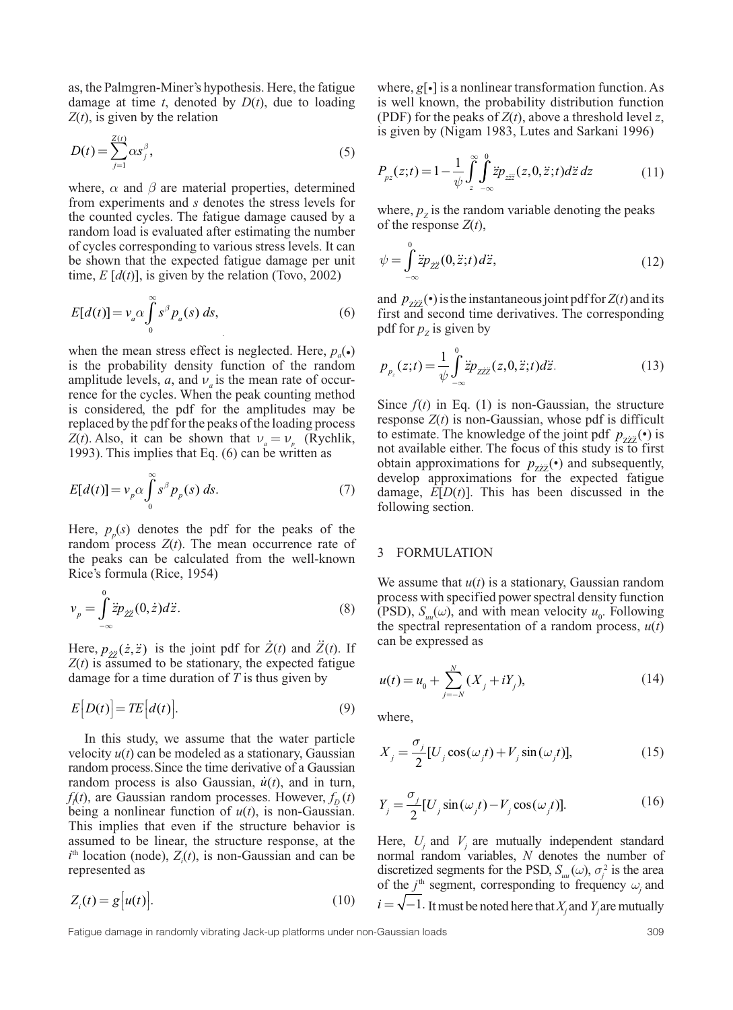as, the Palmgren-Miner's hypothesis. Here, the fatigue damage at time  $t$ , denoted by  $D(t)$ , due to loading *Z*(*t*), is given by the relation

$$
D(t) = \sum_{j=1}^{Z(t)} \alpha s_j^{\beta},\tag{5}
$$

where,  $\alpha$  and  $\beta$  are material properties, determined from experiments and *s* denotes the stress levels for the counted cycles. The fatigue damage caused by a random load is evaluated after estimating the number of cycles corresponding to various stress levels. It can be shown that the expected fatigue damage per unit time,  $E [d(t)]$ , is given by the relation (Tovo, 2002)

$$
E[d(t)] = v_a \alpha \int_0^\infty s^\beta p_a(s) \, ds,\tag{6}
$$

when the mean stress effect is neglected. Here,  $p_a(\bullet)$ is the probability density function of the random amplitude levels,  $a$ , and  $v_a$  is the mean rate of occurrence for the cycles. When the peak counting method is considered, the pdf for the amplitudes may be replaced by the pdf for the peaks of the loading process *Z*(*t*). Also, it can be shown that  $\nu_a = \nu_p$  (Rychlik, 1993). This implies that Eq. (6) can be written as

$$
E[d(t)] = v_p \alpha \int_0^\infty s^\beta p_p(s) \, ds. \tag{7}
$$

Here,  $p_p(s)$  denotes the pdf for the peaks of the random process  $Z(t)$ . The mean occurrence rate of the peaks can be calculated from the well-known Rice's formula (Rice, 1954)

$$
v_p = \int_{-\infty}^{0} \ddot{z} p_{\dot{z}\dot{z}}(0, \dot{z}) d\ddot{z}.
$$
 (8)

Here,  $p_{\text{zz}}(\dot{z}, \ddot{z})$  is the joint pdf for  $\ddot{Z}$  (*t*) and *Z* .. (*t*). If  $Z(t)$  is assumed to be stationary, the expected fatigue damage for a time duration of *T* is thus given by

$$
E[D(t)] = TE\big[d(t)\big].\tag{9}
$$

In this study, we assume that the water particle velocity  $u(t)$  can be modeled as a stationary, Gaussian random process. Since the time derivative of a Gaussian random process is also Gaussian,  $\dot{u}(t)$ , and in turn,  $f_l(t)$ , are Gaussian random processes. However,  $f_D(t)$ being a nonlinear function of  $u(t)$ , is non-Gaussian. This implies that even if the structure behavior is assumed to be linear, the structure response, at the  $i<sup>th</sup>$  location (node),  $Z_i(t)$ , is non-Gaussian and can be represented as

$$
Z_i(t) = g[u(t)].
$$
\n(10)

where, *g*[•] is a nonlinear transformation function. As is well known, the probability distribution function (PDF) for the peaks of *Z*(*t*), above a threshold level *z*, is given by (Nigam 1983, Lutes and Sarkani 1996)

$$
P_{pz}(z;t) = 1 - \frac{1}{\psi} \int_{z}^{\infty} \int_{-\infty}^{0} \dot{z} p_{z\dot{z}\dot{z}}(z,0,\ddot{z};t) d\ddot{z} dz \tag{11}
$$

where,  $p_z$  is the random variable denoting the peaks of the response  $Z(t)$ ,

$$
\psi = \int_{-\infty}^{0} \ddot{z} p_{\dot{z}\dot{z}}(0, \ddot{z}; t) d\ddot{z},\tag{12}
$$

and  $p_{z\bar{z}\bar{z}}(\cdot)$  is the instantaneous joint pdf for  $Z(t)$  and its first and second time derivatives. The corresponding pdf for  $p_z$  is given by

$$
p_{p_z}(z;t) = \frac{1}{\psi} \int_{-\infty}^{0} \ddot{z} p_{z\dot{z}\dot{z}}(z,0,\ddot{z};t) d\ddot{z}.
$$
 (13)

Since  $f(t)$  in Eq. (1) is non-Gaussian, the structure response  $Z(t)$  is non-Gaussian, whose pdf is difficult to estimate. The knowledge of the joint pdf  $p_{\overrightarrow{z}z\overrightarrow{z}}(\cdot)$  is not available either. The focus of this study is to first obtain approximations for  $p_{zz\bar{z}}(•)$  and subsequently, develop approximations for the expected fatigue damage, *E*[*D*(*t*)]. This has been discussed in the following section.

#### 3 FORMULATION

We assume that *u*(*t*) is a stationary, Gaussian random process with specified power spectral density function (PSD),  $S_{uu}(\omega)$ , and with mean velocity  $u_0$ . Following the spectral representation of a random process, *u*(*t*) can be expressed as

$$
u(t) = u_0 + \sum_{j=-N}^{N} (X_j + iY_j),
$$
\n(14)

where,

$$
X_j = \frac{\sigma_j}{2} [U_j \cos(\omega_j t) + V_j \sin(\omega_j t)], \qquad (15)
$$

$$
Y_j = \frac{\sigma_j}{2} [U_j \sin(\omega_j t) - V_j \cos(\omega_j t)].
$$
\n(16)

Here,  $U_j$  and  $V_j$  are mutually independent standard normal random variables, *N* denotes the number of discretized segments for the PSD,  $S_{uu}(\omega)$ ,  $\sigma_j^2$  is the area of the  $j^{\text{th}}$  segment, corresponding to frequency  $\omega_i$  and  $i = \sqrt{-1}$ . It must be noted here that  $X_j$  and  $Y_j$  are mutually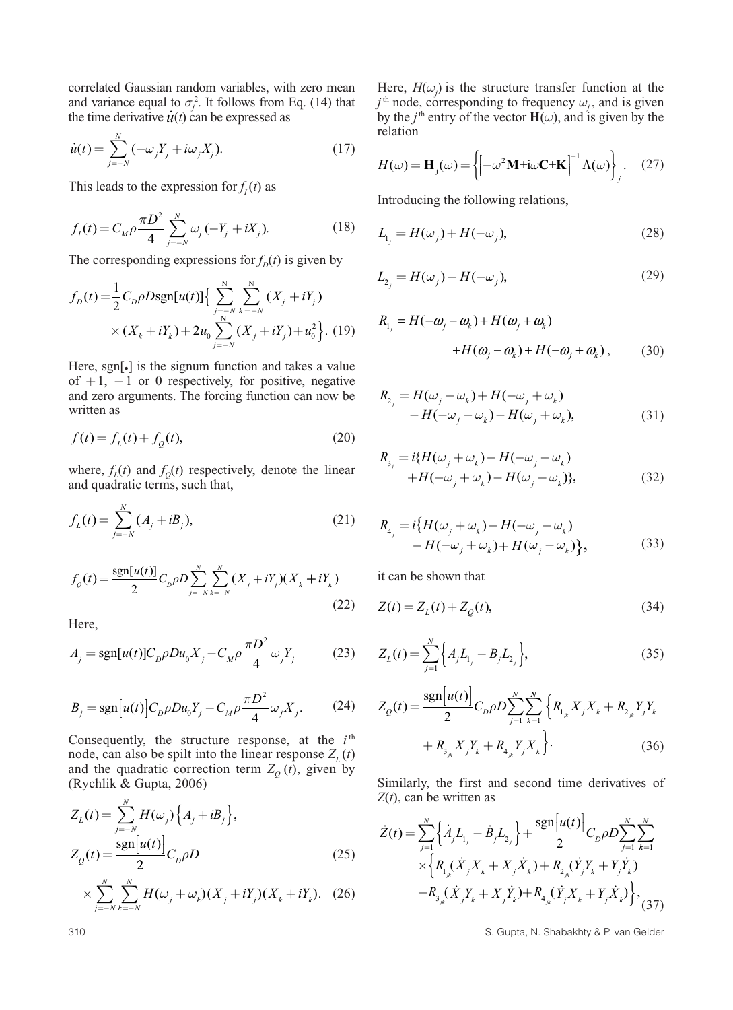correlated Gaussian random variables, with zero mean and variance equal to  $\sigma_j^2$ . It follows from Eq. (14) that the time derivative  $\dot{u}(t)$  can be expressed as

$$
\dot{u}(t) = \sum_{j=-N}^{N} (-\omega_j Y_j + i\omega_j X_j).
$$
 (17)

This leads to the expression for  $f_I(t)$  as

$$
f_{I}(t) = C_{M}\rho \frac{\pi D^{2}}{4} \sum_{j=-N}^{N} \omega_{j} (-Y_{j} + iX_{j}).
$$
 (18)

The corresponding expressions for  $f_D(t)$  is given by

$$
f_D(t) = \frac{1}{2} C_D \rho D \text{sgn}[u(t)] \Big\{ \sum_{\substack{j=-N \\ N}}^{N} \sum_{k=-N}^{N} (X_j + iY_j) \times (X_k + iY_k) + 2u_0 \sum_{j=-N}^{N} (X_j + iY_j) + u_0^2 \Big\}. \tag{19}
$$

Here, sgn[•] is the signum function and takes a value of  $+1$ ,  $-1$  or 0 respectively, for positive, negative and zero arguments. The forcing function can now be written as

$$
f(t) = f_L(t) + f_Q(t),
$$
\n(20)

where,  $f_L(t)$  and  $f_Q(t)$  respectively, denote the linear and quadratic terms, such that,

$$
f_L(t) = \sum_{j=-N}^{N} (A_j + iB_j),
$$
 (21)

$$
f_{\varrho}(t) = \frac{\text{sgn}[u(t)]}{2} C_{D} \rho D \sum_{j=-N}^{N} \sum_{k=-N}^{N} (X_{j} + iY_{j})(X_{k} + iY_{k})
$$
\n(22)

Here,

$$
A_j = \text{sgn}[u(t)]C_D \rho Du_0 X_j - C_M \rho \frac{\pi D^2}{4} \omega_j Y_j \tag{23}
$$

$$
B_j = \text{sgn}[u(t)]C_p \rho D u_0 Y_j - C_M \rho \frac{\pi D^2}{4} \omega_j X_j. \tag{24}
$$

Consequently, the structure response, at the *i*<sup>th</sup> node, can also be spilt into the linear response  $Z_{\ell}(t)$ and the quadratic correction term  $Z<sub>o</sub>(t)$ , given by (Rychlik & Gupta, 2006)

$$
Z_{L}(t) = \sum_{j=-N}^{N} H(\omega_{j}) \left\{ A_{j} + iB_{j} \right\},
$$
  
\n
$$
Z_{Q}(t) = \frac{\text{sgn}[u(t)]}{2} C_{D} \rho D
$$
\n(25)

$$
\times \sum_{j=-N}^{N} \sum_{k=-N}^{N} H(\omega_j + \omega_k)(X_j + iY_j)(X_k + iY_k). \tag{26}
$$

Here,  $H(\omega_j)$  is the structure transfer function at the  $j<sup>th</sup>$  node, corresponding to frequency  $\omega_i$ , and is given by the  $j^{\text{th}}$  entry of the vector  $H(\omega)$ , and is given by the relation

$$
H(\omega) = \mathbf{H}_{j}(\omega) = \left\{ \left[ -\omega^{2} \mathbf{M} + i\omega \mathbf{C} + \mathbf{K} \right]^{-1} \Lambda(\omega) \right\}_{j}.
$$
 (27)

Introducing the following relations,

$$
L_{1_j} = H(\omega_j) + H(-\omega_j),\tag{28}
$$

$$
L_{2_j} = H(\omega_j) + H(-\omega_j),\tag{29}
$$

$$
R_{1_j} = H(-\omega_j - \omega_k) + H(\omega_j + \omega_k)
$$
  
+ 
$$
H(\omega_j - \omega_k) + H(-\omega_j + \omega_k), \qquad (30)
$$

$$
R_{2_j} = H(\omega_j - \omega_k) + H(-\omega_j + \omega_k)
$$
  
-H(-\omega\_j - \omega\_k) - H(\omega\_j + \omega\_k), (31)

$$
R_{3_j} = i\{H(\omega_j + \omega_k) - H(-\omega_j - \omega_k) + H(-\omega_j + \omega_k) - H(\omega_j - \omega_k)\},\tag{32}
$$

$$
R_{4_j} = i \{ H(\omega_j + \omega_k) - H(-\omega_j - \omega_k) - H(-\omega_j + \omega_k) + H(\omega_j - \omega_k) \},
$$
\n(33)

it can be shown that

$$
Z(t) = Z_L(t) + Z_Q(t),
$$
\n(34)

$$
Z_L(t) = \sum_{j=1}^{N} \Big\{ A_j L_{1_j} - B_j L_{2_j} \Big\},\tag{35}
$$

$$
Z_{Q}(t) = \frac{\text{sgn}[u(t)]}{2} C_{D} \rho D \sum_{j=1}^{N} \sum_{k=1}^{N} \left\{ R_{1_{jk}} X_{j} X_{k} + R_{2_{jk}} Y_{j} Y_{k} + R_{3_{jk}} X_{j} Y_{k} + R_{4_{jk}} Y_{j} X_{k} \right\}.
$$
\n(36)

Similarly, the first and second time derivatives of *Z*(*t*), can be written as

$$
\dot{Z}(t) = \sum_{j=1}^{N} \left\{ \dot{A}_{j} L_{1_{j}} - \dot{B}_{j} L_{2_{j}} \right\} + \frac{\text{sgn} [u(t)]}{2} C_{D} \rho D \sum_{j=1}^{N} \sum_{k=1}^{N} \times \left\{ R_{1_{jk}} (\dot{X}_{j} X_{k} + X_{j} \dot{X}_{k}) + R_{2_{jk}} (\dot{Y}_{j} Y_{k} + Y_{j} \dot{Y}_{k}) + R_{3_{jk}} (\dot{X}_{j} Y_{k} + X_{j} \dot{Y}_{k}) + R_{4_{jk}} (\dot{Y}_{j} X_{k} + Y_{j} \dot{X}_{k}) \right\}, \tag{37}
$$

310 S. Gupta, N. Shabakhty & P. van Gelder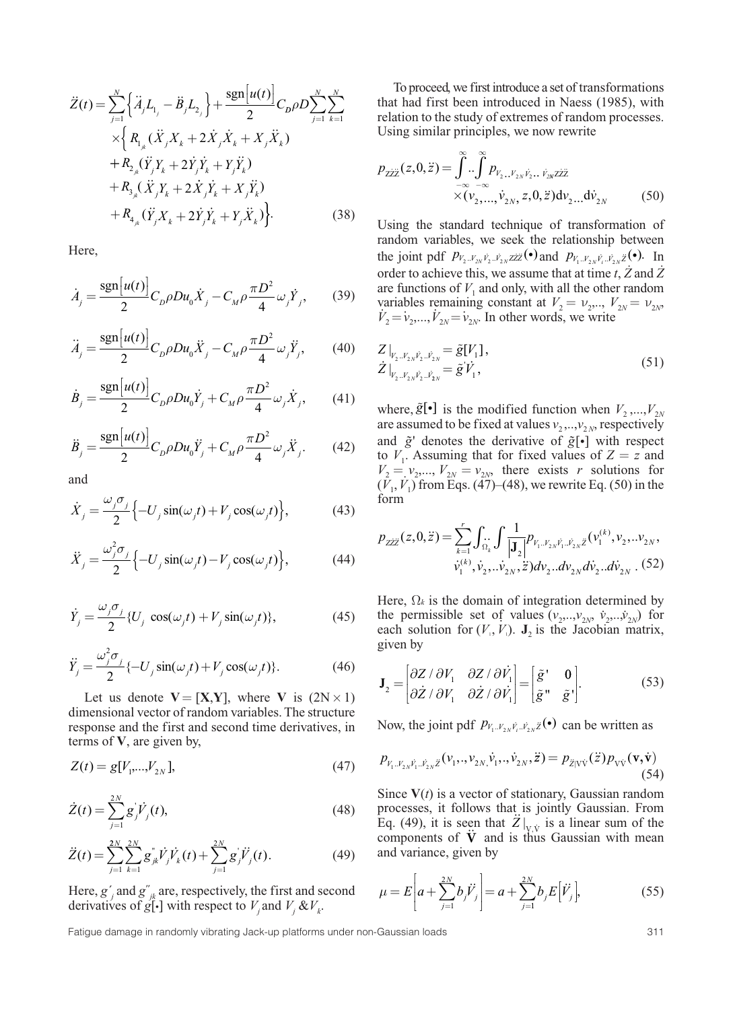$$
\ddot{Z}(t) = \sum_{j=1}^{N} \left\{ \ddot{A}_{j} L_{1_{j}} - \ddot{B}_{j} L_{2_{j}} \right\} + \frac{\text{sgn}[u(t)]}{2} C_{D} \rho D \sum_{j=1}^{N} \sum_{k=1}^{N} \times \left\{ R_{1_{jk}} (\ddot{X}_{j} X_{k} + 2 \dot{X}_{j} \dot{X}_{k} + X_{j} \ddot{X}_{k}) \right. \n+ R_{2_{jk}} (\ddot{Y}_{j} Y_{k} + 2 \dot{Y}_{j} \dot{Y}_{k} + Y_{j} \ddot{Y}_{k}) \n+ R_{3_{jk}} (\ddot{X}_{j} Y_{k} + 2 \dot{X}_{j} \dot{Y}_{k} + X_{j} \ddot{Y}_{k}) \n+ R_{4_{jk}} (\ddot{Y}_{j} X_{k} + 2 \dot{Y}_{j} \dot{Y}_{k} + Y_{j} \ddot{X}_{k}) \bigg\}.
$$
\n(38)

Here,

$$
\dot{A}_j = \frac{\text{sgn}[u(t)]}{2} C_D \rho D u_0 \dot{X}_j - C_M \rho \frac{\pi D^2}{4} \omega_j \dot{Y}_j, \qquad (39)
$$

$$
\ddot{A}_{j} = \frac{\text{sgn}[u(t)]}{2} C_{D} \rho D u_{0} \ddot{X}_{j} - C_{M} \rho \frac{\pi D^{2}}{4} \omega_{j} \ddot{Y}_{j}, \qquad (40)
$$

$$
\dot{B}_j = \frac{\text{sgn}[u(t)]}{2} C_D \rho D u_0 \dot{Y}_j + C_M \rho \frac{\pi D^2}{4} \omega_j \dot{X}_j, \qquad (41)
$$

$$
\ddot{B}_{j} = \frac{\text{sgn}[u(t)]}{2} C_{D} \rho D u_{0} \ddot{Y}_{j} + C_{M} \rho \frac{\pi D^{2}}{4} \omega_{j} \ddot{X}_{j}.
$$
 (42)

and

$$
\dot{X}_j = \frac{\omega_j \sigma_j}{2} \left\{-U_j \sin(\omega_j t) + V_j \cos(\omega_j t) \right\},\tag{43}
$$

$$
\ddot{X}_j = \frac{\omega_j^2 \sigma_j}{2} \left\{ -U_j \sin(\omega_j t) - V_j \cos(\omega_j t) \right\},\tag{44}
$$

$$
\dot{Y}_j = \frac{\omega_j \sigma_j}{2} \{ U_j \cos(\omega_j t) + V_j \sin(\omega_j t) \},\tag{45}
$$

$$
\ddot{Y}_j = \frac{\omega_j^2 \sigma_j}{2} \{-U_j \sin(\omega_j t) + V_j \cos(\omega_j t) \}.
$$
 (46)

Let us denote  $V = [X, Y]$ , where V is  $(2N \times 1)$ dimensional vector of random variables. The structure response and the first and second time derivatives, in terms of **V**, are given by,

$$
Z(t) = g[V_1, \dots, V_{2N}],
$$
\n(47)

$$
\dot{Z}(t) = \sum_{j=1}^{2N} g_j' \dot{V}_j(t),
$$
\n(48)

$$
\ddot{Z}(t) = \sum_{j=1}^{2N} \sum_{k=1}^{2N} g_{jk}^{\dagger} \dot{V}_j \dot{V}_k(t) + \sum_{j=1}^{2N} g_j^{\dagger} \ddot{V}_j(t).
$$
 (49)

Here,  $g'_{j}$  and  $g''_{jk}$  are, respectively, the first and second derivatives of  $g[\cdot]$  with respect to  $V_j$  and  $V_j \& V_k$ .

To proceed, we first introduce a set of transformations that had first been introduced in Naess (1985), with relation to the study of extremes of random processes. Using similar principles, we now rewrite

$$
p_{\text{z}\text{z}\text{z}}(z,0,\ddot{z}) = \int_{-\infty}^{\infty} \int_{-\infty}^{\infty} p_{v_{2}..v_{2N}\dot{v}_{2}..}\dot{v}_{2N}\dot{z}\ddot{z}
$$
  
× $(v_{2},...,v_{2N},z,0,\ddot{z})dv_{2}...d\dot{v}_{2N}$  (50)

Using the standard technique of transformation of random variables, we seek the relationship between the joint pdf  $p_{V_1 \ldots V_{2N}} v_2 \ldots v_{2N} z \bar{z} \cdot \cdot \cdot$  and  $p_{V_1 \ldots V_{2N}} v_i \ldots v_{2N} \bar{z} \cdot \cdot \cdot$  In order to achieve this, we assume that at time *t*, *Z* and *Z* are functions of  $V_1$  and only, with all the other random variables remaining constant at  $V_2 = v_2, ..., V_{2N} = v_{2N}$ ,  $\vec{V}_2 = \vec{v}_2, ..., \vec{V}_{2N} = \vec{v}_{2N}$ . In other words, we write

$$
Z|_{V_2 \dots V_{2N} \dot{V}_2 \dots \dot{V}_{2N}} = \tilde{g}[V_1],
$$
  
\n
$$
\dot{Z}|_{V_2 \dots V_{2N} \dot{V}_2 \dots \dot{V}_{2N}} = \tilde{g}' \dot{V}_1,
$$
\n(51)

where,  $\tilde{g}[\cdot]$  is the modified function when  $V_2$ ,..., $V_{2N}$ are assumed to be fixed at values  $v_2, \ldots, v_{2N}$ , respectively and  $\tilde{g}'$  denotes the derivative of  $\tilde{g}[\cdot]$  with respect to  $V_1$ . Assuming that for fixed values of  $Z = z$  and  $V_2 = v_2, ..., V_{2N} = v_{2N}$ , there exists *r* solutions for  $(V_1, V_1)$  from Eqs. (47)–(48), we rewrite Eq. (50) in the form

$$
p_{z\ddot{z}\ddot{z}}(z,0,\ddot{z}) = \sum_{k=1}^{r} \int_{\Omega_{k}} \int \frac{1}{\left| \mathbf{J}_{2} \right|} p_{\nu_{1} \dots \nu_{2} \dot{\nu_{1}} \dots \dot{\nu}_{2} \dot{\nu}}(v_{1}^{(k)},v_{2},...v_{2N},
$$

$$
\dot{v}_{1}^{(k)}, \dot{v}_{2},...\dot{v}_{2N}, \ddot{z}) dv_{2}...dv_{2N} d\dot{v}_{2}...d\dot{v}_{2N}.
$$
(52)

Here,  $\Omega_k$  is the domain of integration determined by the permissible set of values  $(v_2, \ldots, v_{2N}, \dot{v}_2, \ldots, \dot{v}_{2N})$  for each solution for  $(V_1, V_1)$ . **J**<sub>2</sub> is the Jacobian matrix, given by

$$
\mathbf{J}_2 = \begin{bmatrix} \partial Z / \partial V_1 & \partial Z / \partial \dot{V}_1 \\ \partial \dot{Z} / \partial V_1 & \partial \dot{Z} / \partial \dot{V}_1 \end{bmatrix} = \begin{bmatrix} \tilde{g}^{\prime} & \mathbf{0} \\ \tilde{g}^{\prime \prime} & \tilde{g}^{\prime} \end{bmatrix} . \tag{53}
$$

Now, the joint pdf  $p_{V_1 \cdots V_{2N} \dot{V_i} \cdots \dot{V}_{2N} \dot{Z}}(\cdot)$  can be written as

$$
p_{V_1 \dots V_{2N} \dot{V}_1 \dots \dot{V}_{2N} \dot{Z}}(v_1, \dots, v_{2N, \dot{V}_1}, \dots, \dot{V}_{2N}, \dot{Z}) = p_{\dot{Z}|V\dot{V}}(\dot{Z}) p_{V\dot{V}}(\mathbf{v}, \dot{\mathbf{v}})
$$
(54)

Since **V**(*t*) is a vector of stationary, Gaussian random processes, it follows that is jointly Gaussian. From Eq. (49), it is seen that  $\ddot{Z}\vert_{y,\dot{y}}$  is a linear sum of the | components of  $\ddot{V}$  and is thus Gaussian with mean and variance, given by

$$
\mu = E\bigg[a + \sum_{j=1}^{2N} b_j \ddot{V}_j\bigg] = a + \sum_{j=1}^{2N} b_j E\big[\ddot{V}_j\big],\tag{55}
$$

Fatigue damage in randomly vibrating Jack-up platforms under non-Gaussian loads 311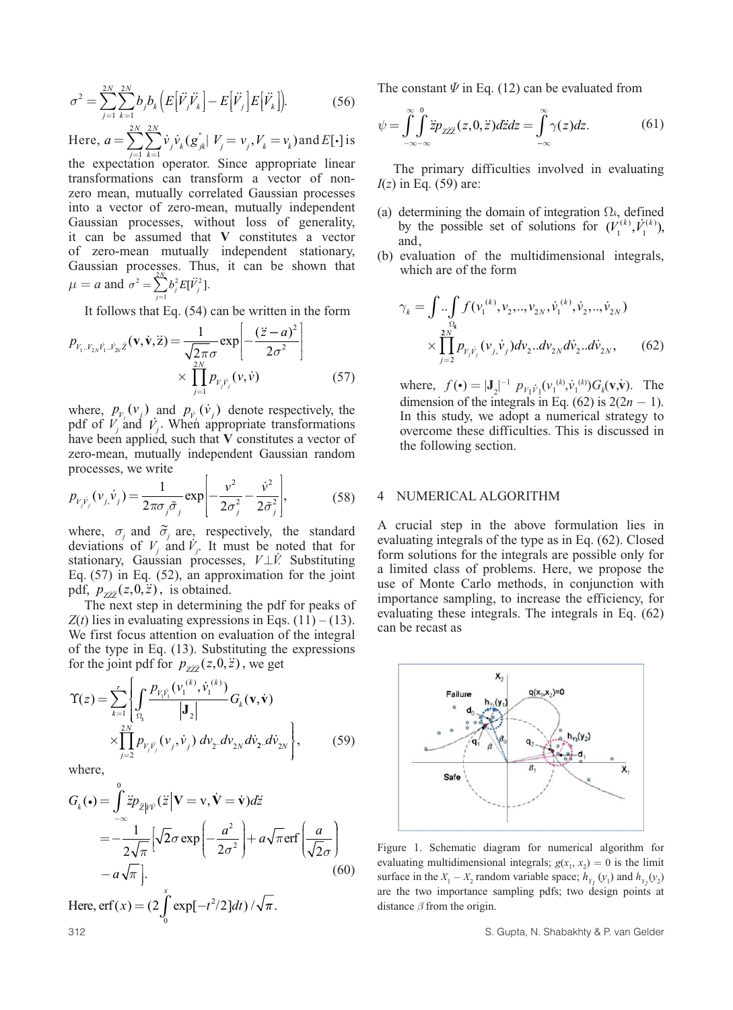$$
\sigma^2 = \sum_{j=1}^{2N} \sum_{k=1}^{2N} b_j b_k \Big( E\Big[\ddot{V}_j \ddot{V}_k\Big] - E\Big[\ddot{V}_j\Big] E\Big[\ddot{V}_k\Big] \Big). \tag{56}
$$

Here,  $a = \sum_{j=1}^n \sum_{k=1}^n v_j v_k (g_{jk}^{\dagger} | V_j = v_j, V_k = v_k)$ *N j N*  $=$   $\sum_{i}$   $\sum_{i}$   $\dot{v}_{i}$   $\dot{v}_{i}$   $(g_{il}^{*}$   $V_{i} = v_{i}$ ,  $V_{i} =$  $\sum_{j=1}^{n} \sum_{k=1}^{n} \dot{v}_{j} \dot{v}_{k} (g_{jk}^{*} | V_{j} = v_{j}, V_{k} = v_{k})$ 2 1 2 and  $E[\cdot]$  is

the expectation operator. Since appropriate linear transformations can transform a vector of nonzero mean, mutually correlated Gaussian processes into a vector of zero-mean, mutually independent Gaussian processes, without loss of generality, it can be assumed that **V** constitutes a vector of zero-mean mutually independent stationary, Gaussian processes. Thus, it can be shown that  $\mu = a$  and  $\sigma^2 = \sum b_i^2 E[\dot{V}_i^2]$ 1  $=\sum^2$  $\sum_{j=1} b_j^2 E[\ddot{V}_j]$  $\sum_{i=1}^N b_i^2 E[\ddot{V}_i^2].$ 

It follows that Eq. (54) can be written in the form

$$
p_{V_1 \dots V_{2N} \dot{V}_1 \dots \dot{V}_{2N} \dot{Z}}(\mathbf{v}, \dot{\mathbf{v}}, \ddot{\mathbf{z}}) = \frac{1}{\sqrt{2\pi}\sigma} \exp\left[-\frac{(\ddot{z} - a)^2}{2\sigma^2}\right] \times \prod_{j=1}^{2N} p_{V_j \dot{V}_j}(\mathbf{v}, \dot{\mathbf{v}})
$$
(57)

where,  $p_{v_i}(v_j)$  and  $p_{v_j}(v_j)$  denote respectively, the *ph*<sup> $\left\{\frac{V_i}{V_j}\right\}$  and  $\left\{\frac{V_j}{V_j}\right\}$ . When appropriate transformations</sup> have been applied, such that **V** constitutes a vector of zero-mean, mutually independent Gaussian random processes, we write

$$
p_{v_j \dot{v}_j}(v_{j,\dot{v}_j}) = \frac{1}{2\pi\sigma_j \tilde{\sigma}_j} \exp\left[-\frac{v^2}{2\sigma_j^2} - \frac{\dot{v}^2}{2\tilde{\sigma}_j^2}\right],
$$
(58)

where,  $\sigma_j$  and  $\tilde{\sigma}_j$  are, respectively, the standard deviations of  $V_j$  and  $\dot{V}_j$ . It must be noted that for stationary, Gaussian processes, *V*⊥ *V.* Substituting Eq. (57) in Eq. (52), an approximation for the joint pdf,  $p_{z\dot{z}\dot{z}}(z,0,\ddot{z})$ , is obtained.

The next step in determining the pdf for peaks of  $Z(t)$  lies in evaluating expressions in Eqs. (11) – (13). We first focus attention on evaluation of the integral of the type in Eq. (13). Substituting the expressions for the joint pdf for  $p_{z\bar{z}\bar{z}}(z,0,\bar{z})$ , we get

$$
\Upsilon(z) = \sum_{k=1}^{r} \left\{ \int_{\Omega_k} \frac{p_{\nu_i \dot{\nu}_1}(\nu_1^{(k)}, \dot{\nu}_1^{(k)})}{|\mathbf{J}_2|} G_k(\mathbf{v}, \dot{\mathbf{v}}) \right. \\ \times \prod_{j=2}^{2N} p_{\nu_j \dot{\nu}_j}(\nu_j, \dot{\nu}_j) d\nu_2 \, dv_{2N} d\dot{\nu}_2 \, d\dot{\nu}_{2N} \right\}, \tag{59}
$$

where,

$$
G_k(\bullet) = \int_{-\infty}^{0} \ddot{z} p_{\dot{z}|\nu\dot{\nu}} (\ddot{z}|\mathbf{V} = \mathbf{v}, \dot{\mathbf{V}} = \dot{\mathbf{v}}) d\ddot{z}
$$
  
\n
$$
= -\frac{1}{2\sqrt{\pi}} \Big[ \sqrt{2}\sigma \exp\left(-\frac{a^2}{2\sigma^2}\right) + a\sqrt{\pi} \operatorname{erf}\left(\frac{a}{\sqrt{2}\sigma}\right)
$$
  
\n
$$
-a\sqrt{\pi} \Big]. \tag{60}
$$
  
\nHere,  $\operatorname{erf}(x) = (2\int_{0}^{x} \exp[-t^2/2] dt) / \sqrt{\pi}.$ 

The constant  $\Psi$  in Eq. (12) can be evaluated from

$$
\psi = \int_{-\infty-\infty}^{\infty} \int_{-\infty}^{0} \ddot{z} p_{z\dot{z}\dot{z}}(z,0,\ddot{z}) d\dot{z} dz = \int_{-\infty}^{\infty} \gamma(z) dz.
$$
 (61)

The primary difficulties involved in evaluating *I*(*z*) in Eq. (59) are:

- (a) determining the domain of integration Ω*k*, defined by the possible set of solutions for  $(V_1^{(k)}, V_1^{(k)})$ , ɺ and,
- (b) evaluation of the multidimensional integrals, which are of the form

$$
\gamma_{k} = \int \int \int \int_{\Omega_{k}} f(\nu_{1}^{(k)}, \nu_{2}, \dots, \nu_{2N}, \dot{\nu}_{1}^{(k)}, \dot{\nu}_{2}, \dots, \dot{\nu}_{2N}) \times \prod_{j=2}^{2N} p_{\nu_{j}\dot{\nu}_{j}}(\nu_{j}, \dot{\nu}_{j}) d\nu_{2} \dots d\nu_{2N} d\dot{\nu}_{2} \dots d\dot{\nu}_{2N}, \tag{62}
$$

where,  $f(\cdot) = |\mathbf{J}_2|^{-1} p_{V_1 \dot{V}_1}(v_1^{(k)}, \dot{v})$ |  $G_k(\mathbf{v}, \dot{\mathbf{v}})$ . The dimension of the integrals in Eq. (62) is  $2(2n - 1)$ . In this study, we adopt a numerical strategy to overcome these difficulties. This is discussed in the following section.

#### 4 NUMERICAL ALGORITHM

A crucial step in the above formulation lies in evaluating integrals of the type as in Eq. (62). Closed form solutions for the integrals are possible only for a limited class of problems. Here, we propose the use of Monte Carlo methods, in conjunction with importance sampling, to increase the efficiency, for evaluating these integrals. The integrals in Eq. (62) can be recast as



Figure 1. Schematic diagram for numerical algorithm for evaluating multidimensional integrals;  $g(x_1, x_2) = 0$  is the limit surface in the  $X_1 - X_2$  random variable space;  $h_{Y_1}(y_1)$  and  $h_{Y_2}(y_2)$ are the two importance sampling pdfs; two design points at distance *β* from the origin.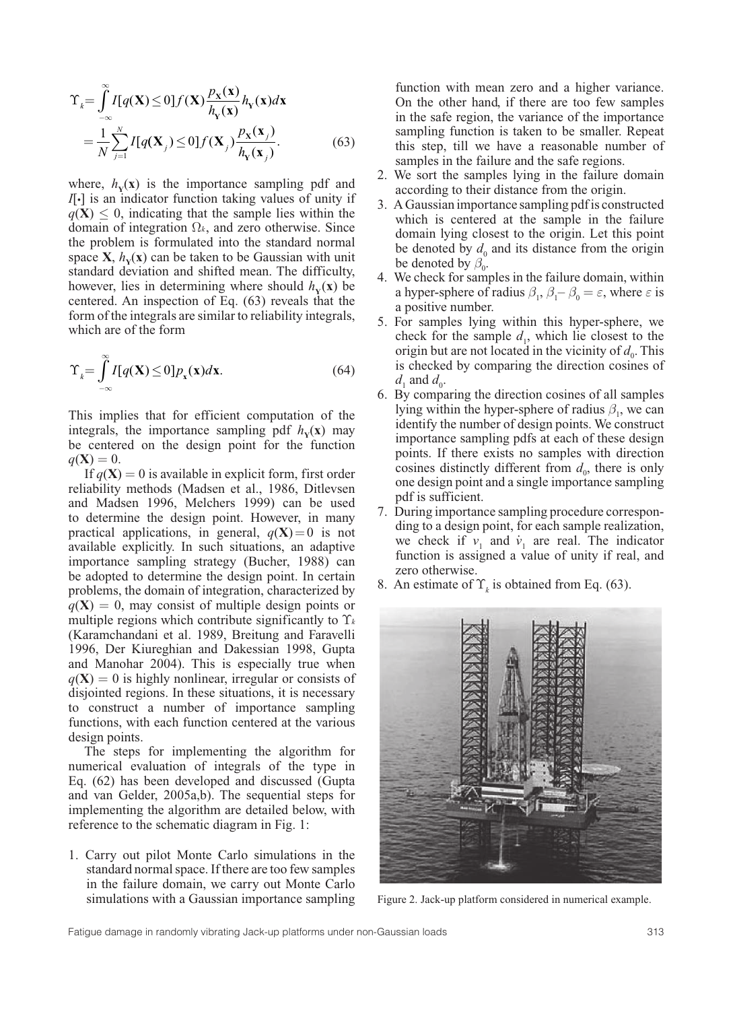$$
\begin{split} \Upsilon_{k} &= \int_{-\infty}^{\infty} I[q(\mathbf{X}) \le 0] f(\mathbf{X}) \frac{p_{\mathbf{X}}(\mathbf{x})}{h_{\mathbf{Y}}(\mathbf{x})} h_{\mathbf{Y}}(\mathbf{x}) d\mathbf{x} \\ &= \frac{1}{N} \sum_{j=1}^{N} I[q(\mathbf{X}_{j}) \le 0] f(\mathbf{X}_{j}) \frac{p_{\mathbf{X}}(\mathbf{x}_{j})}{h_{\mathbf{Y}}(\mathbf{x}_{j})}. \end{split} \tag{63}
$$

where,  $h_Y(x)$  is the importance sampling pdf and *I*[•] is an indicator function taking values of unity if  $q(X) \leq 0$ , indicating that the sample lies within the domain of integration Ω*k* , and zero otherwise. Since the problem is formulated into the standard normal space **X**,  $h_Y(x)$  can be taken to be Gaussian with unit standard deviation and shifted mean. The difficulty, however, lies in determining where should  $h_{\mathbf{y}}(\mathbf{x})$  be centered. An inspection of Eq. (63) reveals that the form of the integrals are similar to reliability integrals, which are of the form

$$
\Upsilon_{k} = \int_{-\infty}^{\infty} I[q(\mathbf{X}) \le 0] p_{\mathbf{x}}(\mathbf{x}) d\mathbf{x}.
$$
 (64)

This implies that for efficient computation of the integrals, the importance sampling pdf  $h_Y(x)$  may be centered on the design point for the function  $q(X) = 0.$ 

If  $q(X) = 0$  is available in explicit form, first order reliability methods (Madsen et al., 1986, Ditlevsen and Madsen 1996, Melchers 1999) can be used to determine the design point. However, in many practical applications, in general,  $q(X) = 0$  is not available explicitly. In such situations, an adaptive importance sampling strategy (Bucher, 1988) can be adopted to determine the design point. In certain problems, the domain of integration, characterized by  $q(X) = 0$ , may consist of multiple design points or multiple regions which contribute significantly to ϒ*<sup>k</sup>* (Karamchandani et al. 1989, Breitung and Faravelli 1996, Der Kiureghian and Dakessian 1998, Gupta and Manohar 2004). This is especially true when  $q(X) = 0$  is highly nonlinear, irregular or consists of disjointed regions. In these situations, it is necessary to construct a number of importance sampling functions, with each function centered at the various design points.

The steps for implementing the algorithm for numerical evaluation of integrals of the type in Eq. (62) has been developed and discussed (Gupta and van Gelder, 2005a,b). The sequential steps for implementing the algorithm are detailed below, with reference to the schematic diagram in Fig. 1:

1. Carry out pilot Monte Carlo simulations in the standard normal space. If there are too few samples in the failure domain, we carry out Monte Carlo simulations with a Gaussian importance sampling

function with mean zero and a higher variance. On the other hand, if there are too few samples in the safe region, the variance of the importance sampling function is taken to be smaller. Repeat this step, till we have a reasonable number of samples in the failure and the safe regions.

- 2. We sort the samples lying in the failure domain according to their distance from the origin.
- 3. A Gaussian importance sampling pdf is constructed which is centered at the sample in the failure domain lying closest to the origin. Let this point be denoted by  $d_0$  and its distance from the origin be denoted by  $\beta_0$ .
- 4. We check for samples in the failure domain, within a hyper-sphere of radius  $\beta_1$ ,  $\beta_1 - \beta_0 = \varepsilon$ , where  $\varepsilon$  is a positive number.
- 5. For samples lying within this hyper-sphere, we check for the sample  $d_1$ , which lie closest to the origin but are not located in the vicinity of  $d_0$ . This is checked by comparing the direction cosines of  $d_1$  and  $d_0$ .
- 6. By comparing the direction cosines of all samples lying within the hyper-sphere of radius  $\beta_1$ , we can identify the number of design points. We construct importance sampling pdfs at each of these design points. If there exists no samples with direction cosines distinctly different from  $d_0$ , there is only one design point and a single importance sampling pdf is sufficient.
- 7. During importance sampling procedure corresponding to a design point, for each sample realization,  $w$  check if  $v_1$  and  $\dot{v}_1$  are real. The indicator function is assigned a value of unity if real, and zero otherwise.
- 8. An estimate of  $\Upsilon_k$  is obtained from Eq. (63).



Figure 2. Jack-up platform considered in numerical example.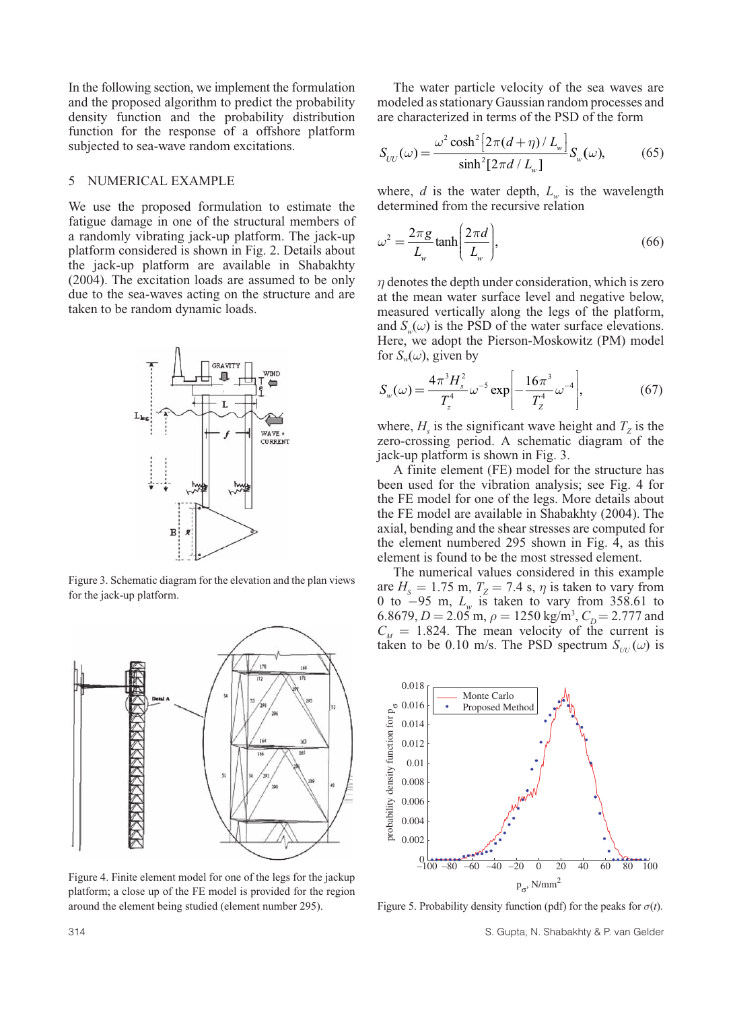In the following section, we implement the formulation and the proposed algorithm to predict the probability density function and the probability distribution function for the response of a offshore platform subjected to sea-wave random excitations.

## 5 NUMERICAL EXAMPLE

We use the proposed formulation to estimate the fatigue damage in one of the structural members of a randomly vibrating jack-up platform. The jack-up platform considered is shown in Fig. 2. Details about the jack-up platform are available in Shabakhty (2004). The excitation loads are assumed to be only due to the sea-waves acting on the structure and are taken to be random dynamic loads.



Figure 3. Schematic diagram for the elevation and the plan views for the jack-up platform.



Figure 4. Finite element model for one of the legs for the jackup platform; a close up of the FE model is provided for the region around the element being studied (element number 295).

The water particle velocity of the sea waves are modeled as stationary Gaussian random processes and are characterized in terms of the PSD of the form

$$
S_{UU}(\omega) = \frac{\omega^2 \cosh^2 \left[2\pi (d+\eta)/L_w\right]}{\sinh^2 \left[2\pi d/L_w\right]} S_w(\omega),\tag{65}
$$

where, *d* is the water depth,  $L_w$  is the wavelength determined from the recursive relation

$$
\omega^2 = \frac{2\pi g}{L_w} \tanh\left(\frac{2\pi d}{L_w}\right),\tag{66}
$$

*η* denotes the depth under consideration, which is zero at the mean water surface level and negative below, measured vertically along the legs of the platform, and  $S_w(\omega)$  is the PSD of the water surface elevations. Here, we adopt the Pierson-Moskowitz (PM) model for  $S_w(\omega)$ , given by

$$
S_w(\omega) = \frac{4\pi^3 H_s^2}{T_z^4} \omega^{-5} \exp\left[-\frac{16\pi^3}{T_z^4} \omega^{-4}\right],\tag{67}
$$

where,  $H_s$  is the significant wave height and  $T_z$  is the zero-crossing period. A schematic diagram of the jack-up platform is shown in Fig. 3.

A finite element (FE) model for the structure has been used for the vibration analysis; see Fig. 4 for the FE model for one of the legs. More details about the FE model are available in Shabakhty (2004). The axial, bending and the shear stresses are computed for the element numbered 295 shown in Fig. 4, as this element is found to be the most stressed element.

The numerical values considered in this example are  $H_s = 1.75$  m,  $T_z = 7.4$  s,  $\eta$  is taken to vary from 0 to  $-95$  m,  $L_w$  is taken to vary from 358.61 to  $6.8679, D = 2.05$  m,  $\rho = 1250$  kg/m<sup>3</sup>,  $C_D = 2.777$  and  $C_M = 1.824$ . The mean velocity of the current is taken to be 0.10 m/s. The PSD spectrum  $S_{UU}(\omega)$  is



Figure 5. Probability density function (pdf) for the peaks for  $\sigma(t)$ .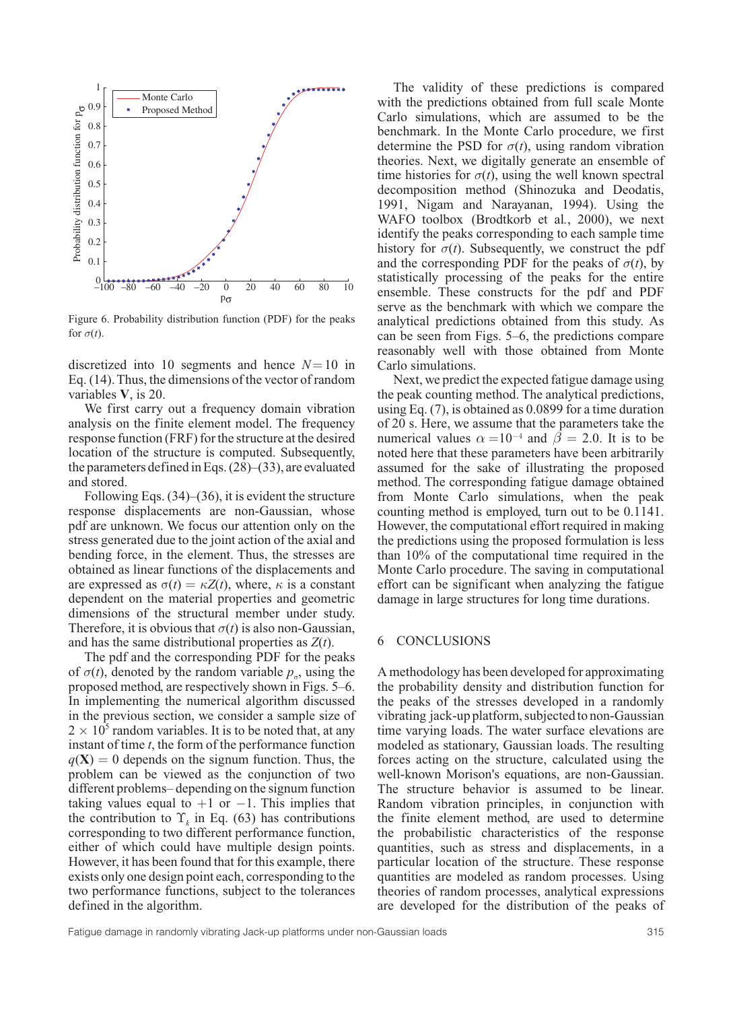

Figure 6. Probability distribution function (PDF) for the peaks for  $\sigma(t)$ .

discretized into 10 segments and hence  $N = 10$  in Eq. (14). Thus, the dimensions of the vector of random variables **V**, is 20.

We first carry out a frequency domain vibration analysis on the finite element model. The frequency response function (FRF) for the structure at the desired location of the structure is computed. Subsequently, the parameters defined in Eqs. (28)–(33), are evaluated and stored.

Following Eqs.  $(34)$ – $(36)$ , it is evident the structure response displacements are non-Gaussian, whose pdf are unknown. We focus our attention only on the stress generated due to the joint action of the axial and bending force, in the element. Thus, the stresses are obtained as linear functions of the displacements and are expressed as  $\sigma(t) = \kappa Z(t)$ , where,  $\kappa$  is a constant dependent on the material properties and geometric dimensions of the structural member under study. Therefore, it is obvious that  $\sigma(t)$  is also non-Gaussian, and has the same distributional properties as *Z*(*t*).

The pdf and the corresponding PDF for the peaks of  $\sigma(t)$ , denoted by the random variable  $p_{\sigma}$ , using the proposed method, are respectively shown in Figs. 5–6. In implementing the numerical algorithm discussed in the previous section, we consider a sample size of  $2 \times 10^5$  random variables. It is to be noted that, at any instant of time *t*, the form of the performance function  $q(X) = 0$  depends on the signum function. Thus, the problem can be viewed as the conjunction of two different problems– depending on the signum function taking values equal to  $+1$  or  $-1$ . This implies that the contribution to  $\Upsilon_k$  in Eq. (63) has contributions corresponding to two different performance function, either of which could have multiple design points. However, it has been found that for this example, there exists only one design point each, corresponding to the two performance functions, subject to the tolerances defined in the algorithm.

The validity of these predictions is compared with the predictions obtained from full scale Monte Carlo simulations, which are assumed to be the benchmark. In the Monte Carlo procedure, we first determine the PSD for  $\sigma(t)$ , using random vibration theories. Next, we digitally generate an ensemble of time histories for  $\sigma(t)$ , using the well known spectral decomposition method (Shinozuka and Deodatis, 1991, Nigam and Narayanan, 1994). Using the WAFO toolbox (Brodtkorb et al*.*, 2000), we next identify the peaks corresponding to each sample time history for  $\sigma(t)$ . Subsequently, we construct the pdf and the corresponding PDF for the peaks of  $\sigma(t)$ , by statistically processing of the peaks for the entire ensemble. These constructs for the pdf and PDF serve as the benchmark with which we compare the analytical predictions obtained from this study. As can be seen from Figs. 5–6, the predictions compare reasonably well with those obtained from Monte Carlo simulations.

Next, we predict the expected fatigue damage using the peak counting method. The analytical predictions, using Eq. (7), is obtained as 0.0899 for a time duration of 20 s. Here, we assume that the parameters take the numerical values  $\alpha = 10^{-4}$  and  $\beta = 2.0$ . It is to be noted here that these parameters have been arbitrarily assumed for the sake of illustrating the proposed method. The corresponding fatigue damage obtained from Monte Carlo simulations, when the peak counting method is employed, turn out to be 0.1141. However, the computational effort required in making the predictions using the proposed formulation is less than 10% of the computational time required in the Monte Carlo procedure. The saving in computational effort can be significant when analyzing the fatigue damage in large structures for long time durations.

#### 6 CONCLUSIONS

A methodology has been developed for approximating the probability density and distribution function for the peaks of the stresses developed in a randomly vibrating jack-up platform, subjected to non-Gaussian time varying loads. The water surface elevations are modeled as stationary, Gaussian loads. The resulting forces acting on the structure, calculated using the well-known Morison's equations, are non-Gaussian. The structure behavior is assumed to be linear. Random vibration principles, in conjunction with the finite element method, are used to determine the probabilistic characteristics of the response quantities, such as stress and displacements, in a particular location of the structure. These response quantities are modeled as random processes. Using theories of random processes, analytical expressions are developed for the distribution of the peaks of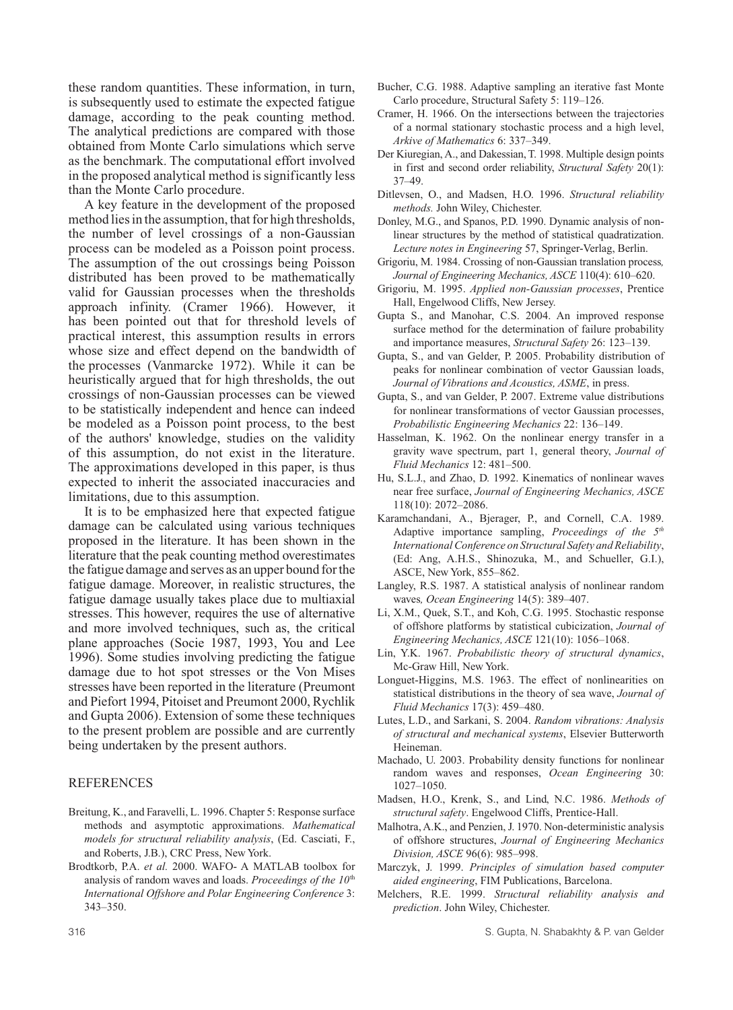these random quantities. These information, in turn, is subsequently used to estimate the expected fatigue damage, according to the peak counting method. The analytical predictions are compared with those obtained from Monte Carlo simulations which serve as the benchmark. The computational effort involved in the proposed analytical method is significantly less than the Monte Carlo procedure.

A key feature in the development of the proposed method lies in the assumption, that for high thresholds, the number of level crossings of a non-Gaussian process can be modeled as a Poisson point process. The assumption of the out crossings being Poisson distributed has been proved to be mathematically valid for Gaussian processes when the thresholds approach infinity. (Cramer 1966). However, it has been pointed out that for threshold levels of practical interest, this assumption results in errors whose size and effect depend on the bandwidth of the processes (Vanmarcke 1972). While it can be heuristically argued that for high thresholds, the out crossings of non-Gaussian processes can be viewed to be statistically independent and hence can indeed be modeled as a Poisson point process, to the best of the authors' knowledge, studies on the validity of this assumption, do not exist in the literature. The approximations developed in this paper, is thus expected to inherit the associated inaccuracies and limitations, due to this assumption.

It is to be emphasized here that expected fatigue damage can be calculated using various techniques proposed in the literature. It has been shown in the literature that the peak counting method over estimates the fatigue damage and serves as an upper bound for the fatigue damage. Moreover, in realistic structures, the fatigue damage usually takes place due to multiaxial stresses. This however, requires the use of alternative and more involved techniques, such as, the critical plane approaches (Socie 1987, 1993, You and Lee 1996). Some studies involving predicting the fatigue damage due to hot spot stresses or the Von Mises stresses have been reported in the literature (Preumont and Piefort 1994, Pitoiset and Preumont 2000, Rychlik and Gupta 2006). Extension of some these techniques to the present problem are possible and are currently being undertaken by the present authors.

## REFERENCES

- Breitung, K., and Faravelli, L. 1996. Chapter 5: Response surface methods and asymptotic approximations. *Mathematical models for structural reliability analysis*, (Ed. Casciati, F., and Roberts, J.B.), CRC Press, New York.
- Brodtkorb, P.A. *et al.* 2000. WAFO- A MATLAB toolbox for analysis of random waves and loads. *Proceedings of the 10<sup>th</sup> International Offshore and Polar Engineering Conference* 3: 343–350.
- Bucher, C.G. 1988. Adaptive sampling an iterative fast Monte Carlo procedure, Structural Safety 5: 119–126.
- Cramer, H. 1966. On the intersections between the trajectories of a normal stationary stochastic process and a high level, *Arkive of Mathematics* 6: 337–349.
- Der Kiuregian, A., and Dakessian, T. 1998. Multiple design points in first and second order reliability, *Structural Safety* 20(1): 37–49.
- Ditlevsen, O., and Madsen, H.O. 1996. *Structural reliability methods.* John Wiley, Chichester.
- Donley, M.G., and Spanos, P.D. 1990. Dynamic analysis of nonlinear structures by the method of statistical quadratization. *Lecture notes in Engineering* 57, Springer-Verlag, Berlin.
- Grigoriu, M. 1984. Crossing of non-Gaussian translation process*, Journal of Engineering Mechanics, ASCE* 110(4): 610–620.
- Grigoriu, M. 1995. *Applied non-Gaussian processes*, Prentice Hall, Engelwood Cliffs, New Jersey.
- Gupta S., and Manohar, C.S. 2004. An improved response surface method for the determination of failure probability and importance measures, *Structural Safety* 26: 123–139.
- Gupta, S., and van Gelder, P. 2005. Probability distribution of peaks for nonlinear combination of vector Gaussian loads, *Journal of Vibrations and Acoustics, ASME*, in press.
- Gupta, S., and van Gelder, P. 2007. Extreme value distributions for nonlinear transformations of vector Gaussian processes, *Probabilistic Engineering Mechanics* 22: 136–149.
- Hasselman, K. 1962. On the nonlinear energy transfer in a gravity wave spectrum, part 1, general theory, *Journal of Fluid Mechanics* 12: 481–500.
- Hu, S.L.J., and Zhao, D. 1992. Kinematics of nonlinear waves near free surface, *Journal of Engineering Mechanics, ASCE*  118(10): 2072–2086.
- Karamchandani, A., Bjerager, P., and Cornell, C.A. 1989. Adaptive importance sampling, *Proceedings of the 5th International Conference on Structural Safety and Reliability*, (Ed: Ang, A.H.S., Shinozuka, M., and Schueller, G.I.), ASCE, New York, 855–862.
- Langley, R.S. 1987. A statistical analysis of nonlinear random waves*, Ocean Engineering* 14(5): 389–407.
- Li, X.M., Quek, S.T., and Koh, C.G. 1995. Stochastic response of offshore platforms by statistical cubicization, *Journal of Engineering Mechanics, ASCE* 121(10): 1056–1068.
- Lin, Y.K. 1967. *Probabilistic theory of structural dynamics*, Mc-Graw Hill, New York.
- Longuet-Higgins, M.S. 1963. The effect of nonlinearities on statistical distributions in the theory of sea wave, *Journal of Fluid Mechanics* 17(3): 459–480.
- Lutes, L.D., and Sarkani, S. 2004. *Random vibrations: Analysis of structural and mechanical systems*, Elsevier Butterworth Heineman.
- Machado, U. 2003. Probability density functions for nonlinear random waves and responses, *Ocean Engineering* 30: 1027–1050.
- Madsen, H.O., Krenk, S., and Lind, N.C. 1986. *Methods of structural safety*. Engelwood Cliffs, Prentice-Hall.
- Malhotra, A.K., and Penzien, J. 1970. Non-deterministic analysis of offshore structures, *Journal of Engineering Mechanics Division, ASCE* 96(6): 985–998.
- Marczyk, J. 1999. *Principles of simulation based computer aided engineering*, FIM Publications, Barcelona.
- Melchers, R.E. 1999. *Structural reliability analysis and prediction*. John Wiley, Chichester.